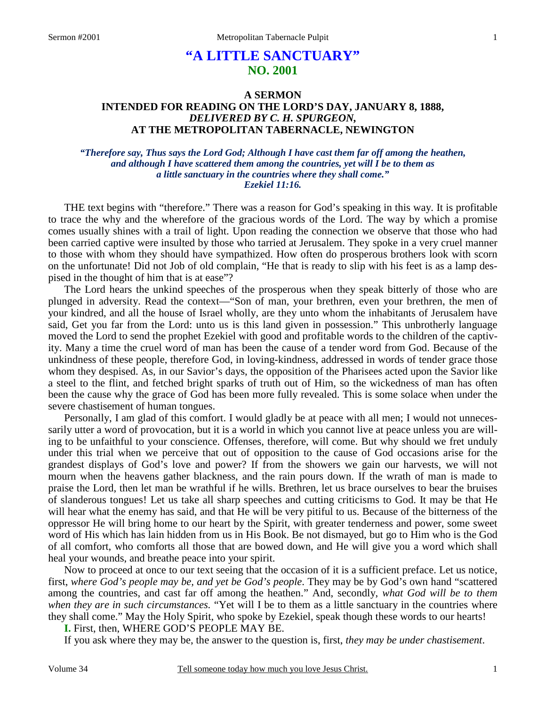# **"A LITTLE SANCTUARY" NO. 2001**

## **A SERMON INTENDED FOR READING ON THE LORD'S DAY, JANUARY 8, 1888,**  *DELIVERED BY C. H. SPURGEON,*  **AT THE METROPOLITAN TABERNACLE, NEWINGTON**

### *"Therefore say, Thus says the Lord God; Although I have cast them far off among the heathen, and although I have scattered them among the countries, yet will I be to them as a little sanctuary in the countries where they shall come." Ezekiel 11:16.*

THE text begins with "therefore." There was a reason for God's speaking in this way. It is profitable to trace the why and the wherefore of the gracious words of the Lord. The way by which a promise comes usually shines with a trail of light. Upon reading the connection we observe that those who had been carried captive were insulted by those who tarried at Jerusalem. They spoke in a very cruel manner to those with whom they should have sympathized. How often do prosperous brothers look with scorn on the unfortunate! Did not Job of old complain, "He that is ready to slip with his feet is as a lamp despised in the thought of him that is at ease"?

The Lord hears the unkind speeches of the prosperous when they speak bitterly of those who are plunged in adversity. Read the context—"Son of man, your brethren, even your brethren, the men of your kindred, and all the house of Israel wholly, are they unto whom the inhabitants of Jerusalem have said, Get you far from the Lord: unto us is this land given in possession." This unbrotherly language moved the Lord to send the prophet Ezekiel with good and profitable words to the children of the captivity. Many a time the cruel word of man has been the cause of a tender word from God. Because of the unkindness of these people, therefore God, in loving-kindness, addressed in words of tender grace those whom they despised. As, in our Savior's days, the opposition of the Pharisees acted upon the Savior like a steel to the flint, and fetched bright sparks of truth out of Him, so the wickedness of man has often been the cause why the grace of God has been more fully revealed. This is some solace when under the severe chastisement of human tongues.

Personally, I am glad of this comfort. I would gladly be at peace with all men; I would not unnecessarily utter a word of provocation, but it is a world in which you cannot live at peace unless you are willing to be unfaithful to your conscience. Offenses, therefore, will come. But why should we fret unduly under this trial when we perceive that out of opposition to the cause of God occasions arise for the grandest displays of God's love and power? If from the showers we gain our harvests, we will not mourn when the heavens gather blackness, and the rain pours down. If the wrath of man is made to praise the Lord, then let man be wrathful if he wills. Brethren, let us brace ourselves to bear the bruises of slanderous tongues! Let us take all sharp speeches and cutting criticisms to God. It may be that He will hear what the enemy has said, and that He will be very pitiful to us. Because of the bitterness of the oppressor He will bring home to our heart by the Spirit, with greater tenderness and power, some sweet word of His which has lain hidden from us in His Book. Be not dismayed, but go to Him who is the God of all comfort, who comforts all those that are bowed down, and He will give you a word which shall heal your wounds, and breathe peace into your spirit.

Now to proceed at once to our text seeing that the occasion of it is a sufficient preface. Let us notice, first, *where God's people may be, and yet be God's people*. They may be by God's own hand "scattered among the countries, and cast far off among the heathen." And, secondly, *what God will be to them when they are in such circumstances.* "Yet will I be to them as a little sanctuary in the countries where they shall come." May the Holy Spirit, who spoke by Ezekiel, speak though these words to our hearts!

**I.** First, then, WHERE GOD'S PEOPLE MAY BE.

If you ask where they may be, the answer to the question is, first, *they may be under chastisement*.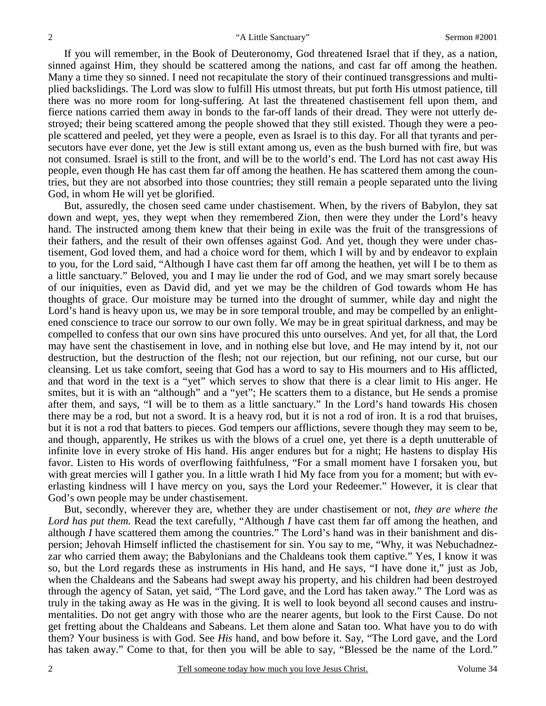If you will remember, in the Book of Deuteronomy, God threatened Israel that if they, as a nation, sinned against Him, they should be scattered among the nations, and cast far off among the heathen. Many a time they so sinned. I need not recapitulate the story of their continued transgressions and multiplied backslidings. The Lord was slow to fulfill His utmost threats, but put forth His utmost patience, till there was no more room for long-suffering. At last the threatened chastisement fell upon them, and fierce nations carried them away in bonds to the far-off lands of their dread. They were not utterly destroyed; their being scattered among the people showed that they still existed. Though they were a people scattered and peeled, yet they were a people, even as Israel is to this day. For all that tyrants and persecutors have ever done, yet the Jew is still extant among us, even as the bush burned with fire, but was not consumed. Israel is still to the front, and will be to the world's end. The Lord has not cast away His people, even though He has cast them far off among the heathen. He has scattered them among the countries, but they are not absorbed into those countries; they still remain a people separated unto the living God, in whom He will yet be glorified.

But, assuredly, the chosen seed came under chastisement. When, by the rivers of Babylon, they sat down and wept, yes, they wept when they remembered Zion, then were they under the Lord's heavy hand. The instructed among them knew that their being in exile was the fruit of the transgressions of their fathers, and the result of their own offenses against God. And yet, though they were under chastisement, God loved them, and had a choice word for them, which I will by and by endeavor to explain to you, for the Lord said, "Although I have cast them far off among the heathen, yet will I be to them as a little sanctuary." Beloved, you and I may lie under the rod of God, and we may smart sorely because of our iniquities, even as David did, and yet we may be the children of God towards whom He has thoughts of grace. Our moisture may be turned into the drought of summer, while day and night the Lord's hand is heavy upon us, we may be in sore temporal trouble, and may be compelled by an enlightened conscience to trace our sorrow to our own folly. We may be in great spiritual darkness, and may be compelled to confess that our own sins have procured this unto ourselves. And yet, for all that, the Lord may have sent the chastisement in love, and in nothing else but love, and He may intend by it, not our destruction, but the destruction of the flesh; not our rejection, but our refining, not our curse, but our cleansing. Let us take comfort, seeing that God has a word to say to His mourners and to His afflicted, and that word in the text is a "yet" which serves to show that there is a clear limit to His anger. He smites, but it is with an "although" and a "yet"; He scatters them to a distance, but He sends a promise after them, and says, "I will be to them as a little sanctuary." In the Lord's hand towards His chosen there may be a rod, but not a sword. It is a heavy rod, but it is not a rod of iron. It is a rod that bruises, but it is not a rod that batters to pieces. God tempers our afflictions, severe though they may seem to be, and though, apparently, He strikes us with the blows of a cruel one, yet there is a depth unutterable of infinite love in every stroke of His hand. His anger endures but for a night; He hastens to display His favor. Listen to His words of overflowing faithfulness, "For a small moment have I forsaken you, but with great mercies will I gather you. In a little wrath I hid My face from you for a moment; but with everlasting kindness will I have mercy on you, says the Lord your Redeemer." However, it is clear that God's own people may be under chastisement.

But, secondly, wherever they are, whether they are under chastisement or not, *they are where the Lord has put them.* Read the text carefully, "Although *I* have cast them far off among the heathen, and although *I* have scattered them among the countries." The Lord's hand was in their banishment and dispersion; Jehovah Himself inflicted the chastisement for sin. You say to me, "Why, it was Nebuchadnezzar who carried them away; the Babylonians and the Chaldeans took them captive." Yes, I know it was so, but the Lord regards these as instruments in His hand, and He says, "I have done it," just as Job, when the Chaldeans and the Sabeans had swept away his property, and his children had been destroyed through the agency of Satan, yet said, "The Lord gave, and the Lord has taken away." The Lord was as truly in the taking away as He was in the giving. It is well to look beyond all second causes and instrumentalities. Do not get angry with those who are the nearer agents, but look to the First Cause. Do not get fretting about the Chaldeans and Sabeans. Let them alone and Satan too. What have you to do with them? Your business is with God. See *His* hand, and bow before it. Say, "The Lord gave, and the Lord has taken away." Come to that, for then you will be able to say, "Blessed be the name of the Lord."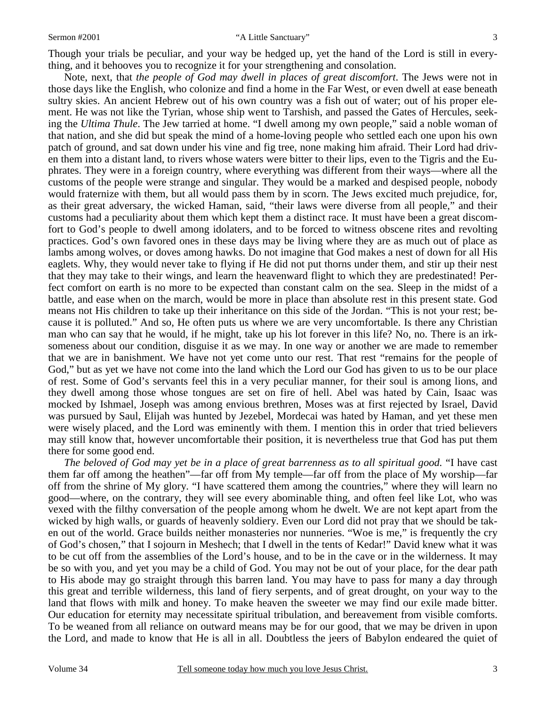#### Sermon #2001 "A Little Sanctuary"

Though your trials be peculiar, and your way be hedged up, yet the hand of the Lord is still in everything, and it behooves you to recognize it for your strengthening and consolation.

Note, next, that *the people of God may dwell in places of great discomfort*. The Jews were not in those days like the English, who colonize and find a home in the Far West, or even dwell at ease beneath sultry skies. An ancient Hebrew out of his own country was a fish out of water; out of his proper element. He was not like the Tyrian, whose ship went to Tarshish, and passed the Gates of Hercules, seeking the *Ultima Thule*. The Jew tarried at home. "I dwell among my own people," said a noble woman of that nation, and she did but speak the mind of a home-loving people who settled each one upon his own patch of ground, and sat down under his vine and fig tree, none making him afraid. Their Lord had driven them into a distant land, to rivers whose waters were bitter to their lips, even to the Tigris and the Euphrates. They were in a foreign country, where everything was different from their ways—where all the customs of the people were strange and singular. They would be a marked and despised people, nobody would fraternize with them, but all would pass them by in scorn. The Jews excited much prejudice, for, as their great adversary, the wicked Haman, said, "their laws were diverse from all people," and their customs had a peculiarity about them which kept them a distinct race. It must have been a great discomfort to God's people to dwell among idolaters, and to be forced to witness obscene rites and revolting practices. God's own favored ones in these days may be living where they are as much out of place as lambs among wolves, or doves among hawks. Do not imagine that God makes a nest of down for all His eaglets. Why, they would never take to flying if He did not put thorns under them, and stir up their nest that they may take to their wings, and learn the heavenward flight to which they are predestinated! Perfect comfort on earth is no more to be expected than constant calm on the sea. Sleep in the midst of a battle, and ease when on the march, would be more in place than absolute rest in this present state. God means not His children to take up their inheritance on this side of the Jordan. "This is not your rest; because it is polluted." And so, He often puts us where we are very uncomfortable. Is there any Christian man who can say that he would, if he might, take up his lot forever in this life? No, no. There is an irksomeness about our condition, disguise it as we may. In one way or another we are made to remember that we are in banishment. We have not yet come unto our rest. That rest "remains for the people of God," but as yet we have not come into the land which the Lord our God has given to us to be our place of rest. Some of God's servants feel this in a very peculiar manner, for their soul is among lions, and they dwell among those whose tongues are set on fire of hell. Abel was hated by Cain, Isaac was mocked by Ishmael, Joseph was among envious brethren, Moses was at first rejected by Israel, David was pursued by Saul, Elijah was hunted by Jezebel, Mordecai was hated by Haman, and yet these men were wisely placed, and the Lord was eminently with them. I mention this in order that tried believers may still know that, however uncomfortable their position, it is nevertheless true that God has put them there for some good end.

*The beloved of God may yet be in a place of great barrenness as to all spiritual good.* "I have cast them far off among the heathen"—far off from My temple—far off from the place of My worship—far off from the shrine of My glory. "I have scattered them among the countries," where they will learn no good—where, on the contrary, they will see every abominable thing, and often feel like Lot, who was vexed with the filthy conversation of the people among whom he dwelt. We are not kept apart from the wicked by high walls, or guards of heavenly soldiery. Even our Lord did not pray that we should be taken out of the world. Grace builds neither monasteries nor nunneries. "Woe is me," is frequently the cry of God's chosen," that I sojourn in Meshech; that I dwell in the tents of Kedar!" David knew what it was to be cut off from the assemblies of the Lord's house, and to be in the cave or in the wilderness. It may be so with you, and yet you may be a child of God. You may not be out of your place, for the dear path to His abode may go straight through this barren land. You may have to pass for many a day through this great and terrible wilderness, this land of fiery serpents, and of great drought, on your way to the land that flows with milk and honey. To make heaven the sweeter we may find our exile made bitter. Our education for eternity may necessitate spiritual tribulation, and bereavement from visible comforts. To be weaned from all reliance on outward means may be for our good, that we may be driven in upon the Lord, and made to know that He is all in all. Doubtless the jeers of Babylon endeared the quiet of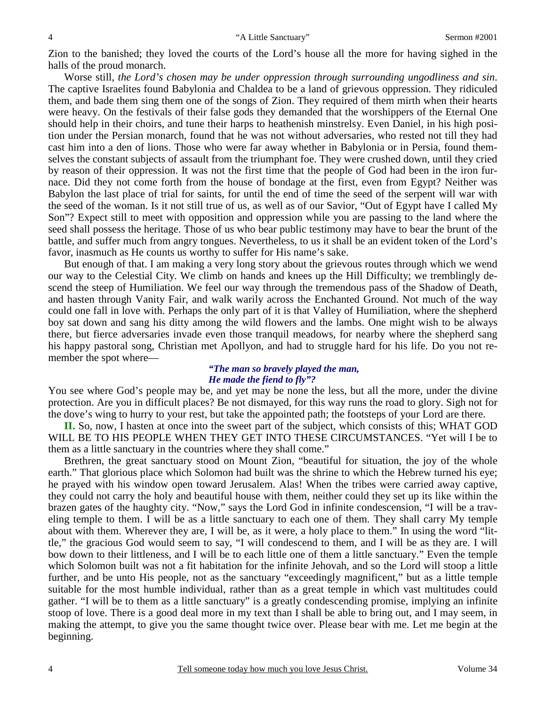Zion to the banished; they loved the courts of the Lord's house all the more for having sighed in the halls of the proud monarch.

Worse still, *the Lord's chosen may be under oppression through surrounding ungodliness and sin*. The captive Israelites found Babylonia and Chaldea to be a land of grievous oppression. They ridiculed them, and bade them sing them one of the songs of Zion. They required of them mirth when their hearts were heavy. On the festivals of their false gods they demanded that the worshippers of the Eternal One should help in their choirs, and tune their harps to heathenish minstrelsy. Even Daniel, in his high position under the Persian monarch, found that he was not without adversaries, who rested not till they had cast him into a den of lions. Those who were far away whether in Babylonia or in Persia, found themselves the constant subjects of assault from the triumphant foe. They were crushed down, until they cried by reason of their oppression. It was not the first time that the people of God had been in the iron furnace. Did they not come forth from the house of bondage at the first, even from Egypt? Neither was Babylon the last place of trial for saints, for until the end of time the seed of the serpent will war with the seed of the woman. Is it not still true of us, as well as of our Savior, "Out of Egypt have I called My Son"? Expect still to meet with opposition and oppression while you are passing to the land where the seed shall possess the heritage. Those of us who bear public testimony may have to bear the brunt of the battle, and suffer much from angry tongues. Nevertheless, to us it shall be an evident token of the Lord's favor, inasmuch as He counts us worthy to suffer for His name's sake.

But enough of that. I am making a very long story about the grievous routes through which we wend our way to the Celestial City. We climb on hands and knees up the Hill Difficulty; we tremblingly descend the steep of Humiliation. We feel our way through the tremendous pass of the Shadow of Death, and hasten through Vanity Fair, and walk warily across the Enchanted Ground. Not much of the way could one fall in love with. Perhaps the only part of it is that Valley of Humiliation, where the shepherd boy sat down and sang his ditty among the wild flowers and the lambs. One might wish to be always there, but fierce adversaries invade even those tranquil meadows, for nearby where the shepherd sang his happy pastoral song, Christian met Apollyon, and had to struggle hard for his life. Do you not remember the spot where—

## *"The man so bravely played the man, He made the fiend to fly"?*

You see where God's people may be, and yet may be none the less, but all the more, under the divine protection. Are you in difficult places? Be not dismayed, for this way runs the road to glory. Sigh not for the dove's wing to hurry to your rest, but take the appointed path; the footsteps of your Lord are there.

**II.** So, now, I hasten at once into the sweet part of the subject, which consists of this; WHAT GOD WILL BE TO HIS PEOPLE WHEN THEY GET INTO THESE CIRCUMSTANCES. "Yet will I be to them as a little sanctuary in the countries where they shall come."

Brethren, the great sanctuary stood on Mount Zion, "beautiful for situation, the joy of the whole earth." That glorious place which Solomon had built was the shrine to which the Hebrew turned his eye; he prayed with his window open toward Jerusalem. Alas! When the tribes were carried away captive, they could not carry the holy and beautiful house with them, neither could they set up its like within the brazen gates of the haughty city. "Now," says the Lord God in infinite condescension, "I will be a traveling temple to them. I will be as a little sanctuary to each one of them. They shall carry My temple about with them. Wherever they are, I will be, as it were, a holy place to them." In using the word "little," the gracious God would seem to say, "I will condescend to them, and I will be as they are. I will bow down to their littleness, and I will be to each little one of them a little sanctuary." Even the temple which Solomon built was not a fit habitation for the infinite Jehovah, and so the Lord will stoop a little further, and be unto His people, not as the sanctuary "exceedingly magnificent," but as a little temple suitable for the most humble individual, rather than as a great temple in which vast multitudes could gather. "I will be to them as a little sanctuary" is a greatly condescending promise, implying an infinite stoop of love. There is a good deal more in my text than I shall be able to bring out, and I may seem, in making the attempt, to give you the same thought twice over. Please bear with me. Let me begin at the beginning.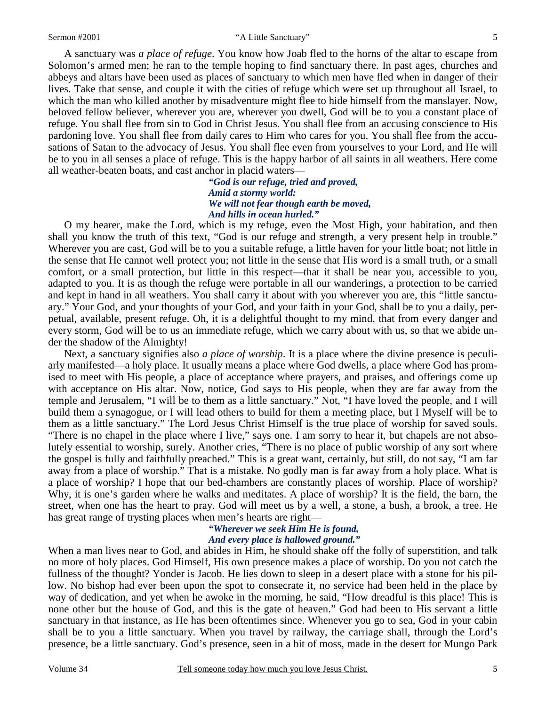#### Sermon #2001 "A Little Sanctuary"

A sanctuary was *a place of refuge*. You know how Joab fled to the horns of the altar to escape from Solomon's armed men; he ran to the temple hoping to find sanctuary there. In past ages, churches and abbeys and altars have been used as places of sanctuary to which men have fled when in danger of their lives. Take that sense, and couple it with the cities of refuge which were set up throughout all Israel, to which the man who killed another by misadventure might flee to hide himself from the manslayer. Now, beloved fellow believer, wherever you are, wherever you dwell, God will be to you a constant place of refuge. You shall flee from sin to God in Christ Jesus. You shall flee from an accusing conscience to His pardoning love. You shall flee from daily cares to Him who cares for you. You shall flee from the accusations of Satan to the advocacy of Jesus. You shall flee even from yourselves to your Lord, and He will be to you in all senses a place of refuge. This is the happy harbor of all saints in all weathers. Here come all weather-beaten boats, and cast anchor in placid waters—

> *"God is our refuge, tried and proved, Amid a stormy world: We will not fear though earth be moved, And hills in ocean hurled."*

O my hearer, make the Lord, which is my refuge, even the Most High, your habitation, and then shall you know the truth of this text, "God is our refuge and strength, a very present help in trouble." Wherever you are cast, God will be to you a suitable refuge, a little haven for your little boat; not little in the sense that He cannot well protect you; not little in the sense that His word is a small truth, or a small comfort, or a small protection, but little in this respect—that it shall be near you, accessible to you, adapted to you. It is as though the refuge were portable in all our wanderings, a protection to be carried and kept in hand in all weathers. You shall carry it about with you wherever you are, this "little sanctuary." Your God, and your thoughts of your God, and your faith in your God, shall be to you a daily, perpetual, available, present refuge. Oh, it is a delightful thought to my mind, that from every danger and every storm, God will be to us an immediate refuge, which we carry about with us, so that we abide under the shadow of the Almighty!

Next, a sanctuary signifies also *a place of worship*. It is a place where the divine presence is peculiarly manifested—a holy place. It usually means a place where God dwells, a place where God has promised to meet with His people, a place of acceptance where prayers, and praises, and offerings come up with acceptance on His altar. Now, notice, God says to His people, when they are far away from the temple and Jerusalem, "I will be to them as a little sanctuary." Not, "I have loved the people, and I will build them a synagogue, or I will lead others to build for them a meeting place, but I Myself will be to them as a little sanctuary." The Lord Jesus Christ Himself is the true place of worship for saved souls. "There is no chapel in the place where I live," says one. I am sorry to hear it, but chapels are not absolutely essential to worship, surely. Another cries, "There is no place of public worship of any sort where the gospel is fully and faithfully preached." This is a great want, certainly, but still, do not say, "I am far away from a place of worship." That is a mistake. No godly man is far away from a holy place. What is a place of worship? I hope that our bed-chambers are constantly places of worship. Place of worship? Why, it is one's garden where he walks and meditates. A place of worship? It is the field, the barn, the street, when one has the heart to pray. God will meet us by a well, a stone, a bush, a brook, a tree. He has great range of trysting places when men's hearts are right—

#### *"Wherever we seek Him He is found, And every place is hallowed ground."*

When a man lives near to God, and abides in Him, he should shake off the folly of superstition, and talk no more of holy places. God Himself, His own presence makes a place of worship. Do you not catch the fullness of the thought? Yonder is Jacob. He lies down to sleep in a desert place with a stone for his pillow. No bishop had ever been upon the spot to consecrate it, no service had been held in the place by way of dedication, and yet when he awoke in the morning, he said, "How dreadful is this place! This is none other but the house of God, and this is the gate of heaven." God had been to His servant a little sanctuary in that instance, as He has been oftentimes since. Whenever you go to sea, God in your cabin shall be to you a little sanctuary. When you travel by railway, the carriage shall, through the Lord's presence, be a little sanctuary. God's presence, seen in a bit of moss, made in the desert for Mungo Park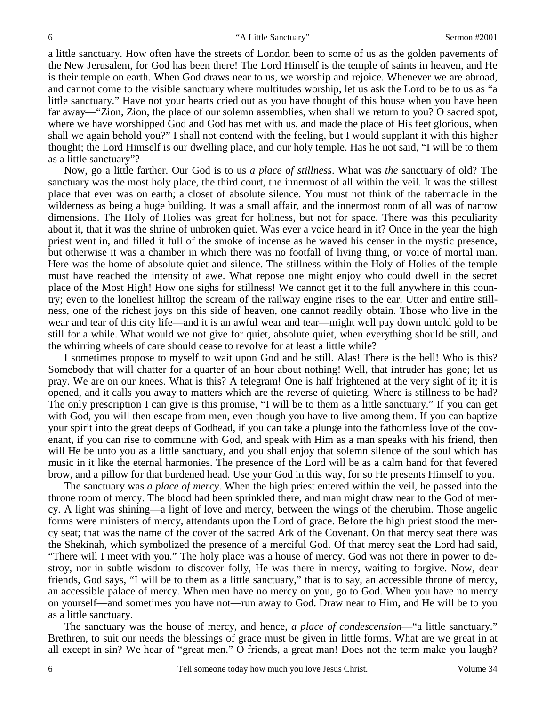a little sanctuary. How often have the streets of London been to some of us as the golden pavements of the New Jerusalem, for God has been there! The Lord Himself is the temple of saints in heaven, and He is their temple on earth. When God draws near to us, we worship and rejoice. Whenever we are abroad, and cannot come to the visible sanctuary where multitudes worship, let us ask the Lord to be to us as "a little sanctuary." Have not your hearts cried out as you have thought of this house when you have been far away—"Zion, Zion, the place of our solemn assemblies, when shall we return to you? O sacred spot, where we have worshipped God and God has met with us, and made the place of His feet glorious, when shall we again behold you?" I shall not contend with the feeling, but I would supplant it with this higher thought; the Lord Himself is our dwelling place, and our holy temple. Has he not said, "I will be to them as a little sanctuary"?

Now, go a little farther. Our God is to us *a place of stillness*. What was *the* sanctuary of old? The sanctuary was the most holy place, the third court, the innermost of all within the veil. It was the stillest place that ever was on earth; a closet of absolute silence. You must not think of the tabernacle in the wilderness as being a huge building. It was a small affair, and the innermost room of all was of narrow dimensions. The Holy of Holies was great for holiness, but not for space. There was this peculiarity about it, that it was the shrine of unbroken quiet. Was ever a voice heard in it? Once in the year the high priest went in, and filled it full of the smoke of incense as he waved his censer in the mystic presence, but otherwise it was a chamber in which there was no footfall of living thing, or voice of mortal man. Here was the home of absolute quiet and silence. The stillness within the Holy of Holies of the temple must have reached the intensity of awe. What repose one might enjoy who could dwell in the secret place of the Most High! How one sighs for stillness! We cannot get it to the full anywhere in this country; even to the loneliest hilltop the scream of the railway engine rises to the ear. Utter and entire stillness, one of the richest joys on this side of heaven, one cannot readily obtain. Those who live in the wear and tear of this city life—and it is an awful wear and tear—might well pay down untold gold to be still for a while. What would we not give for quiet, absolute quiet, when everything should be still, and the whirring wheels of care should cease to revolve for at least a little while?

I sometimes propose to myself to wait upon God and be still. Alas! There is the bell! Who is this? Somebody that will chatter for a quarter of an hour about nothing! Well, that intruder has gone; let us pray. We are on our knees. What is this? A telegram! One is half frightened at the very sight of it; it is opened, and it calls you away to matters which are the reverse of quieting. Where is stillness to be had? The only prescription I can give is this promise, "I will be to them as a little sanctuary." If you can get with God, you will then escape from men, even though you have to live among them. If you can baptize your spirit into the great deeps of Godhead, if you can take a plunge into the fathomless love of the covenant, if you can rise to commune with God, and speak with Him as a man speaks with his friend, then will He be unto you as a little sanctuary, and you shall enjoy that solemn silence of the soul which has music in it like the eternal harmonies. The presence of the Lord will be as a calm hand for that fevered brow, and a pillow for that burdened head. Use your God in this way, for so He presents Himself to you.

The sanctuary was *a place of mercy*. When the high priest entered within the veil, he passed into the throne room of mercy. The blood had been sprinkled there, and man might draw near to the God of mercy. A light was shining—a light of love and mercy, between the wings of the cherubim. Those angelic forms were ministers of mercy, attendants upon the Lord of grace. Before the high priest stood the mercy seat; that was the name of the cover of the sacred Ark of the Covenant. On that mercy seat there was the Shekinah, which symbolized the presence of a merciful God. Of that mercy seat the Lord had said, "There will I meet with you." The holy place was a house of mercy. God was not there in power to destroy, nor in subtle wisdom to discover folly, He was there in mercy, waiting to forgive. Now, dear friends, God says, "I will be to them as a little sanctuary," that is to say, an accessible throne of mercy, an accessible palace of mercy. When men have no mercy on you, go to God. When you have no mercy on yourself—and sometimes you have not—run away to God. Draw near to Him, and He will be to you as a little sanctuary.

The sanctuary was the house of mercy, and hence, *a place of condescension*—"a little sanctuary." Brethren, to suit our needs the blessings of grace must be given in little forms. What are we great in at all except in sin? We hear of "great men." O friends, a great man! Does not the term make you laugh?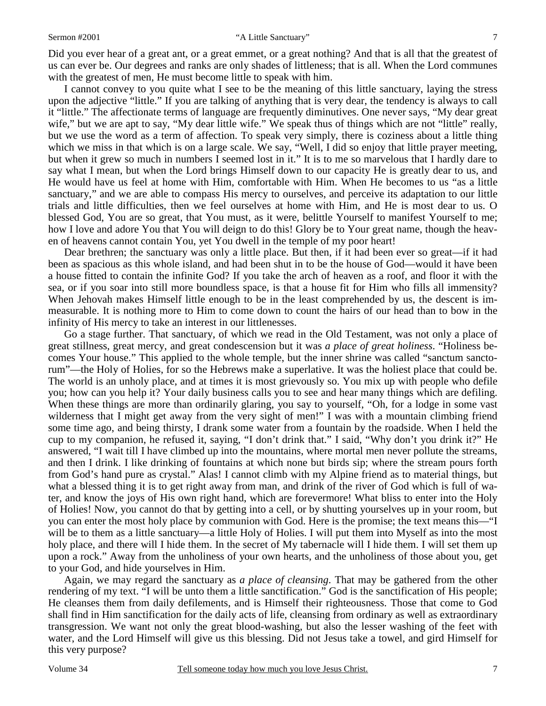#### Sermon #2001 "A Little Sanctuary"

Did you ever hear of a great ant, or a great emmet, or a great nothing? And that is all that the greatest of us can ever be. Our degrees and ranks are only shades of littleness; that is all. When the Lord communes with the greatest of men, He must become little to speak with him.

I cannot convey to you quite what I see to be the meaning of this little sanctuary, laying the stress upon the adjective "little." If you are talking of anything that is very dear, the tendency is always to call it "little." The affectionate terms of language are frequently diminutives. One never says, "My dear great wife," but we are apt to say, "My dear little wife." We speak thus of things which are not "little" really, but we use the word as a term of affection. To speak very simply, there is coziness about a little thing which we miss in that which is on a large scale. We say, "Well, I did so enjoy that little prayer meeting, but when it grew so much in numbers I seemed lost in it." It is to me so marvelous that I hardly dare to say what I mean, but when the Lord brings Himself down to our capacity He is greatly dear to us, and He would have us feel at home with Him, comfortable with Him. When He becomes to us "as a little sanctuary," and we are able to compass His mercy to ourselves, and perceive its adaptation to our little trials and little difficulties, then we feel ourselves at home with Him, and He is most dear to us. O blessed God, You are so great, that You must, as it were, belittle Yourself to manifest Yourself to me; how I love and adore You that You will deign to do this! Glory be to Your great name, though the heaven of heavens cannot contain You, yet You dwell in the temple of my poor heart!

Dear brethren; the sanctuary was only a little place. But then, if it had been ever so great—if it had been as spacious as this whole island, and had been shut in to be the house of God—would it have been a house fitted to contain the infinite God? If you take the arch of heaven as a roof, and floor it with the sea, or if you soar into still more boundless space, is that a house fit for Him who fills all immensity? When Jehovah makes Himself little enough to be in the least comprehended by us, the descent is immeasurable. It is nothing more to Him to come down to count the hairs of our head than to bow in the infinity of His mercy to take an interest in our littlenesses.

Go a stage further. That sanctuary, of which we read in the Old Testament, was not only a place of great stillness, great mercy, and great condescension but it was *a place of great holiness*. "Holiness becomes Your house." This applied to the whole temple, but the inner shrine was called "sanctum sanctorum"—the Holy of Holies, for so the Hebrews make a superlative. It was the holiest place that could be. The world is an unholy place, and at times it is most grievously so. You mix up with people who defile you; how can you help it? Your daily business calls you to see and hear many things which are defiling. When these things are more than ordinarily glaring, you say to yourself, "Oh, for a lodge in some vast wilderness that I might get away from the very sight of men!" I was with a mountain climbing friend some time ago, and being thirsty, I drank some water from a fountain by the roadside. When I held the cup to my companion, he refused it, saying, "I don't drink that." I said, "Why don't you drink it?" He answered, "I wait till I have climbed up into the mountains, where mortal men never pollute the streams, and then I drink. I like drinking of fountains at which none but birds sip; where the stream pours forth from God's hand pure as crystal." Alas! I cannot climb with my Alpine friend as to material things, but what a blessed thing it is to get right away from man, and drink of the river of God which is full of water, and know the joys of His own right hand, which are forevermore! What bliss to enter into the Holy of Holies! Now, you cannot do that by getting into a cell, or by shutting yourselves up in your room, but you can enter the most holy place by communion with God. Here is the promise; the text means this—"I will be to them as a little sanctuary—a little Holy of Holies. I will put them into Myself as into the most holy place, and there will I hide them. In the secret of My tabernacle will I hide them. I will set them up upon a rock." Away from the unholiness of your own hearts, and the unholiness of those about you, get to your God, and hide yourselves in Him.

Again, we may regard the sanctuary as *a place of cleansing*. That may be gathered from the other rendering of my text. "I will be unto them a little sanctification." God is the sanctification of His people; He cleanses them from daily defilements, and is Himself their righteousness. Those that come to God shall find in Him sanctification for the daily acts of life, cleansing from ordinary as well as extraordinary transgression. We want not only the great blood-washing, but also the lesser washing of the feet with water, and the Lord Himself will give us this blessing. Did not Jesus take a towel, and gird Himself for this very purpose?